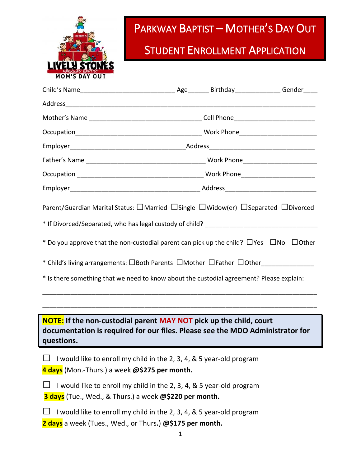

## PARKWAY BAPTIST – MOTHER'S DAY OUT

## **STUDENT ENROLLMENT APPLICATION**

| Parent/Guardian Marital Status: □Married □Single □Widow(er) □Separated □Divorced<br>* Do you approve that the non-custodial parent can pick up the child? $\Box$ Yes $\Box$ No $\Box$ Other<br>* Child's living arrangements: OBoth Parents OMother OFather OOther<br>* Is there something that we need to know about the custodial agreement? Please explain: |  |  |
|----------------------------------------------------------------------------------------------------------------------------------------------------------------------------------------------------------------------------------------------------------------------------------------------------------------------------------------------------------------|--|--|
| <b>NOTE:</b> If the non-custodial parent MAY NOT pick up the child, court<br>documentation is required for our files. Please see the MDO Administrator for<br>questions.                                                                                                                                                                                       |  |  |
| I would like to enroll my child in the 2, 3, 4, & 5 year-old program<br>4 days (Mon.-Thurs.) a week @\$275 per month.                                                                                                                                                                                                                                          |  |  |
| I would like to enroll my child in the 2, 3, 4, & 5 year-old program<br>3 days (Tue., Wed., & Thurs.) a week @\$220 per month.                                                                                                                                                                                                                                 |  |  |
| I would like to enroll my child in the 2, 3, 4, & 5 year-old program<br>2 days a week (Tues., Wed., or Thurs.) @\$175 per month.                                                                                                                                                                                                                               |  |  |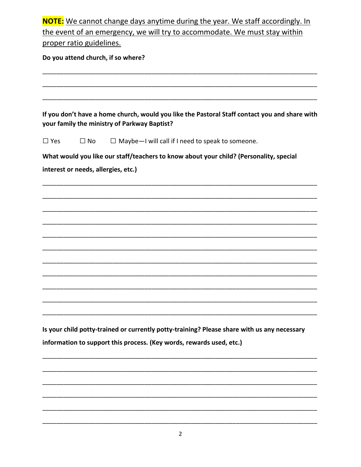| NOTE: We cannot change days anytime during the year. We staff accordingly. In |
|-------------------------------------------------------------------------------|
| the event of an emergency, we will try to accommodate. We must stay within    |
| proper ratio guidelines.                                                      |
|                                                                               |

Do you attend church, if so where?

If you don't have a home church, would you like the Pastoral Staff contact you and share with your family the ministry of Parkway Baptist?  $\Box$  Yes  $\Box$  No  $\Box$  Maybe-I will call if I need to speak to someone. What would you like our staff/teachers to know about your child? (Personality, special interest or needs, allergies, etc.)

Is your child potty-trained or currently potty-training? Please share with us any necessary information to support this process. (Key words, rewards used, etc.)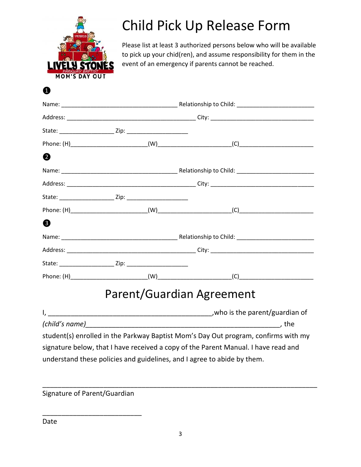

## Child Pick Up Release Form

Please list at least 3 authorized persons below who will be available to pick up your chid(ren), and assume responsibility for them in the event of an emergency if parents cannot be reached.

❶

| 2 |  |  |                                                                                    |  |  |
|---|--|--|------------------------------------------------------------------------------------|--|--|
|   |  |  |                                                                                    |  |  |
|   |  |  |                                                                                    |  |  |
|   |  |  |                                                                                    |  |  |
|   |  |  |                                                                                    |  |  |
| ❸ |  |  |                                                                                    |  |  |
|   |  |  |                                                                                    |  |  |
|   |  |  |                                                                                    |  |  |
|   |  |  |                                                                                    |  |  |
|   |  |  |                                                                                    |  |  |
|   |  |  | <b>Parent/Guardian Agreement</b>                                                   |  |  |
|   |  |  |                                                                                    |  |  |
|   |  |  |                                                                                    |  |  |
|   |  |  | student(s) enrolled in the Parkway Baptist Mom's Day Out program, confirms with my |  |  |
|   |  |  | signature below, that I have received a copy of the Parent Manual. I have read and |  |  |
|   |  |  | understand these policies and guidelines, and I agree to abide by them.            |  |  |

Signature of Parent/Guardian

\_\_\_\_\_\_\_\_\_\_\_\_\_\_\_\_\_\_\_\_\_\_\_\_\_\_

\_\_\_\_\_\_\_\_\_\_\_\_\_\_\_\_\_\_\_\_\_\_\_\_\_\_\_\_\_\_\_\_\_\_\_\_\_\_\_\_\_\_\_\_\_\_\_\_\_\_\_\_\_\_\_\_\_\_\_\_\_\_\_\_\_\_\_\_\_\_\_\_